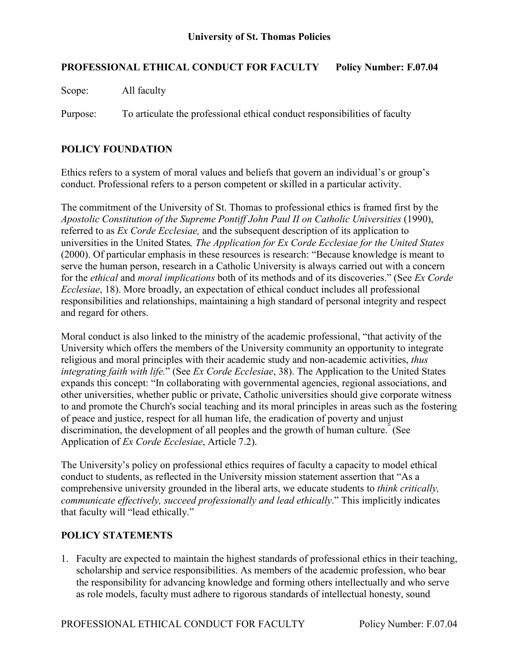# **PROFESSIONAL ETHICAL CONDUCT FOR FACULTY Policy Number: F.07.04**

Scope: All faculty

Purpose: To articulate the professional ethical conduct responsibilities of faculty

# **POLICY FOUNDATION**

Ethics refers to a system of moral values and beliefs that govern an individual's or group's conduct. Professional refers to a person competent or skilled in a particular activity.

The commitment of the University of St. Thomas to professional ethics is framed first by the *Apostolic Constitution of the Supreme Pontiff John Paul II on Catholic Universities* (1990), referred to as *Ex Corde Ecclesiae,* and the subsequent description of its application to universities in the United States*, The Application for Ex Corde Ecclesiae for the United States* (2000). Of particular emphasis in these resources is research: "Because knowledge is meant to serve the human person, research in a Catholic University is always carried out with a concern for the *ethical* and *moral implications* both of its methods and of its discoveries." (See *Ex Corde Ecclesiae*, 18). More broadly, an expectation of ethical conduct includes all professional responsibilities and relationships, maintaining a high standard of personal integrity and respect and regard for others.

Moral conduct is also linked to the ministry of the academic professional, "that activity of the University which offers the members of the University community an opportunity to integrate religious and moral principles with their academic study and non-academic activities, *thus integrating faith with life.*" (See *Ex Corde Ecclesiae*, 38). The Application to the United States expands this concept: "In collaborating with governmental agencies, regional associations, and other universities, whether public or private, Catholic universities should give corporate witness to and promote the Church's social teaching and its moral principles in areas such as the fostering of peace and justice, respect for all human life, the eradication of poverty and unjust discrimination, the development of all peoples and the growth of human culture." (See Application of *Ex Corde Ecclesiae*, Article 7.2).

The University's policy on professional ethics requires of faculty a capacity to model ethical conduct to students, as reflected in the University mission statement assertion that "As a comprehensive university grounded in the liberal arts, we educate students to *think critically, communicate effectively, succeed professionally and lead ethically*." This implicitly indicates that faculty will "lead ethically."

## **POLICY STATEMENTS**

1. Faculty are expected to maintain the highest standards of professional ethics in their teaching, scholarship and service responsibilities. As members of the academic profession, who bear the responsibility for advancing knowledge and forming others intellectually and who serve as role models, faculty must adhere to rigorous standards of intellectual honesty, sound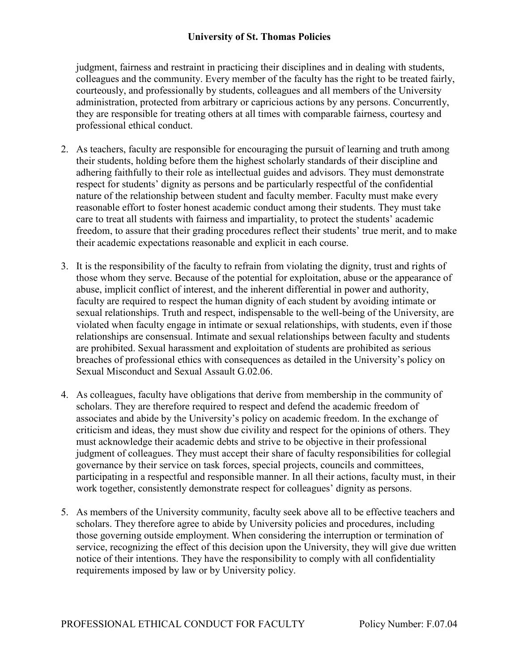## **University of St. Thomas Policies**

judgment, fairness and restraint in practicing their disciplines and in dealing with students, colleagues and the community. Every member of the faculty has the right to be treated fairly, courteously, and professionally by students, colleagues and all members of the University administration, protected from arbitrary or capricious actions by any persons. Concurrently, they are responsible for treating others at all times with comparable fairness, courtesy and professional ethical conduct.

- 2. As teachers, faculty are responsible for encouraging the pursuit of learning and truth among their students, holding before them the highest scholarly standards of their discipline and adhering faithfully to their role as intellectual guides and advisors. They must demonstrate respect for students' dignity as persons and be particularly respectful of the confidential nature of the relationship between student and faculty member. Faculty must make every reasonable effort to foster honest academic conduct among their students. They must take care to treat all students with fairness and impartiality, to protect the students' academic freedom, to assure that their grading procedures reflect their students' true merit, and to make their academic expectations reasonable and explicit in each course.
- 3. It is the responsibility of the faculty to refrain from violating the dignity, trust and rights of those whom they serve. Because of the potential for exploitation, abuse or the appearance of abuse, implicit conflict of interest, and the inherent differential in power and authority, faculty are required to respect the human dignity of each student by avoiding intimate or sexual relationships. Truth and respect, indispensable to the well-being of the University, are violated when faculty engage in intimate or sexual relationships, with students, even if those relationships are consensual. Intimate and sexual relationships between faculty and students are prohibited. Sexual harassment and exploitation of students are prohibited as serious breaches of professional ethics with consequences as detailed in the University's policy on Sexual Misconduct and Sexual Assault G.02.06.
- 4. As colleagues, faculty have obligations that derive from membership in the community of scholars. They are therefore required to respect and defend the academic freedom of associates and abide by the University's policy on academic freedom. In the exchange of criticism and ideas, they must show due civility and respect for the opinions of others. They must acknowledge their academic debts and strive to be objective in their professional judgment of colleagues. They must accept their share of faculty responsibilities for collegial governance by their service on task forces, special projects, councils and committees, participating in a respectful and responsible manner. In all their actions, faculty must, in their work together, consistently demonstrate respect for colleagues' dignity as persons.
- 5. As members of the University community, faculty seek above all to be effective teachers and scholars. They therefore agree to abide by University policies and procedures, including those governing outside employment. When considering the interruption or termination of service, recognizing the effect of this decision upon the University, they will give due written notice of their intentions. They have the responsibility to comply with all confidentiality requirements imposed by law or by University policy.